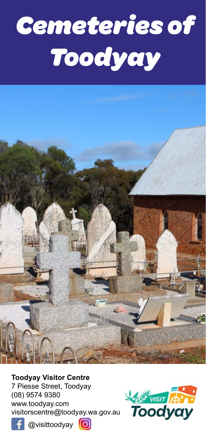# *Cemeteries of Toodyay*



**Toodyay Visitor Centre**

7 Piesse Street, Toodyay (08) 9574 9380 www.toodyay.com visitorscentre@toodyay.wa.gov.au







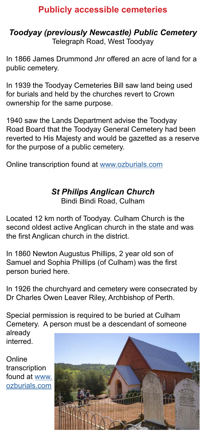#### **Publicly accessible cemeteries**

#### *Toodyay (previously Newcastle) Public Cemetery* Telegraph Road, West Toodyay

In 1866 James Drummond Jnr offered an acre of land for a public cemetery.

In 1939 the Toodyay Cemeteries Bill saw land being used for burials and held by the churches revert to Crown ownership for the same purpose.

1940 saw the Lands Department advise the Toodyay Road Board that the Toodyay General Cemetery had been reverted to His Majesty and would be gazetted as a reserve for the purpose of a public cemetery.

Online transcription found at [www.ozburials.com](http://www.ozburials.com/CemsWA/Toodyay/toodyay.htm)

# *St Philips Anglican Church*

Bindi Bindi Road, Culham

Located 12 km north of Toodyay. Culham Church is the second oldest active Anglican church in the state and was the first Anglican church in the district.

In 1860 Newton Augustus Phillips, 2 year old son of Samuel and Sophia Phillips (of Culham) was the first person buried here.

In 1926 the churchyard and cemetery were consecrated by Dr Charles Owen Leaver Riley, Archbishop of Perth.

Special permission is required to be buried at Culham Cemetery. A person must be a descendant of someone already interred.

Online transcription found at www. ozburials.com

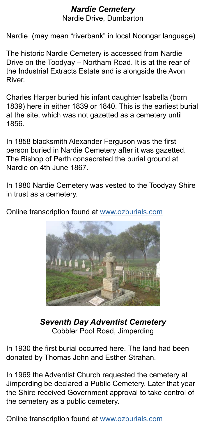#### *Nardie Cemetery*

Nardie Drive, Dumbarton

Nardie (may mean "riverbank" in local Noongar language)

The historic Nardie Cemetery is accessed from Nardie Drive on the Toodyay – Northam Road. It is at the rear of the Industrial Extracts Estate and is alongside the Avon River.

Charles Harper buried his infant daughter Isabella (born 1839) here in either 1839 or 1840. This is the earliest burial at the site, which was not gazetted as a cemetery until 1856.

In 1858 blacksmith Alexander Ferguson was the first person buried in Nardie Cemetery after it was gazetted. The Bishop of Perth consecrated the burial ground at Nardie on 4th June 1867.

In 1980 Nardie Cemetery was vested to the Toodyay Shire in trust as a cemetery.

Online transcription found at ww[w.ozburials.com](http://www.ozburials.com/CemsWA/Toodyay/nardie.htm)



*Seventh Day Adventist Cemetery* Cobbler Pool Road, Jimperding

In 1930 the first burial occurred here. The land had been donated by Thomas John and Esther Strahan.

In 1969 the Adventist Church requested the cemetery at Jimperding be declared a Public Cemetery. Later that year the Shire received Government approval to take control of the cemetery as a public cemetery.

Online transcription found at [www.ozburials.com](http://www.ozburials.com/CemsWA/OtherCems/jimperding.htm)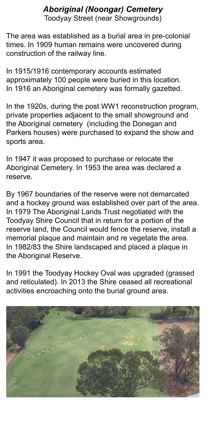### *Aboriginal (Noongar) Cemetery*

Toodyay Street (near Showgrounds)

The area was established as a burial area in pre-colonial times. In 1909 human remains were uncovered during construction of the railway line.

In 1915/1916 contemporary accounts estimated approximately 100 people were buried in this location. In 1916 an Aboriginal cemetery was formally gazetted.

In the 1920s, during the post WW1 reconstruction program, private properties adjacent to the small showground and the Aboriginal cemetery (including the Donegan and Parkers houses) were purchased to expand the show and sports area.

In 1947 it was proposed to purchase or relocate the Aboriginal Cemetery. In 1953 the area was declared a reserve.

By 1967 boundaries of the reserve were not demarcated and a hockey ground was established over part of the area. In 1979 The Aboriginal Lands Trust negotiated with the Toodyay Shire Council that in return for a portion of the reserve land, the Council would fence the reserve, install a memorial plaque and maintain and re vegetate the area. In 1982/83 the Shire landscaped and placed a plaque in the Aboriginal Reserve.

In 1991 the Toodyay Hockey Oval was upgraded (grassed and reticulated). In 2013 the Shire ceased all recreational activities encroaching onto the burial ground area.

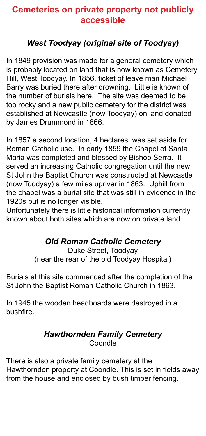#### **Cemeteries on private property not publicly accessible**

#### *West Toodyay (original site of Toodyay)*

In 1849 provision was made for a general cemetery which is probably located on land that is now known as Cemetery Hill, West Toodyay. In 1856, ticket of leave man Michael Barry was buried there after drowning. Little is known of the number of burials here. The site was deemed to be too rocky and a new public cemetery for the district was established at Newcastle (now Toodyay) on land donated by James Drummond in 1866.

In 1857 a second location, 4 hectares, was set aside for Roman Catholic use. In early 1859 the Chapel of Santa Maria was completed and blessed by Bishop Serra. It served an increasing Catholic congregation until the new St John the Baptist Church was constructed at Newcastle (now Toodyay) a few miles upriver in 1863. Uphill from the chapel was a burial site that was still in evidence in the 1920s but is no longer visible.

Unfortunately there is little historical information currently known about both sites which are now on private land.

#### *Old Roman Catholic Cemetery*

Duke Street, Toodyay (near the rear of the old Toodyay Hospital)

Burials at this site commenced after the completion of the St John the Baptist Roman Catholic Church in 1863.

In 1945 the wooden headboards were destroyed in a bushfire.

#### *Hawthornden Family Cemetery* Coondle

There is also a private family cemetery at the Hawthornden property at Coondle. This is set in fields away from the house and enclosed by bush timber fencing.